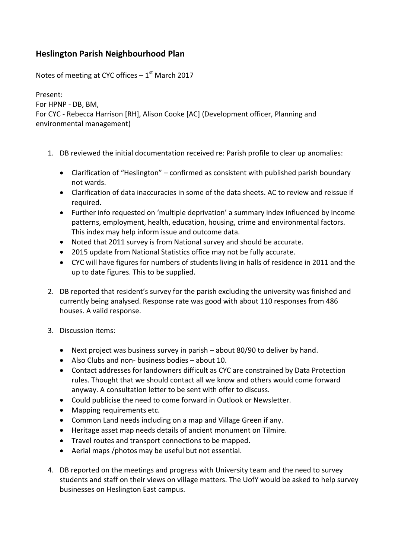## **Heslington Parish Neighbourhood Plan**

Notes of meeting at CYC offices  $-1<sup>st</sup>$  March 2017

Present: For HPNP - DB, BM, For CYC - Rebecca Harrison [RH], Alison Cooke [AC] (Development officer, Planning and environmental management)

- 1. DB reviewed the initial documentation received re: Parish profile to clear up anomalies:
	- Clarification of "Heslington" confirmed as consistent with published parish boundary not wards.
	- Clarification of data inaccuracies in some of the data sheets. AC to review and reissue if required.
	- Further info requested on 'multiple deprivation' a summary index influenced by income patterns, employment, health, education, housing, crime and environmental factors. This index may help inform issue and outcome data.
	- Noted that 2011 survey is from National survey and should be accurate.
	- 2015 update from National Statistics office may not be fully accurate.
	- CYC will have figures for numbers of students living in halls of residence in 2011 and the up to date figures. This to be supplied.
- 2. DB reported that resident's survey for the parish excluding the university was finished and currently being analysed. Response rate was good with about 110 responses from 486 houses. A valid response.
- 3. Discussion items:
	- Next project was business survey in parish about 80/90 to deliver by hand.
	- Also Clubs and non- business bodies about 10.
	- Contact addresses for landowners difficult as CYC are constrained by Data Protection rules. Thought that we should contact all we know and others would come forward anyway. A consultation letter to be sent with offer to discuss.
	- Could publicise the need to come forward in Outlook or Newsletter.
	- Mapping requirements etc.
	- Common Land needs including on a map and Village Green if any.
	- Heritage asset map needs details of ancient monument on Tilmire.
	- Travel routes and transport connections to be mapped.
	- Aerial maps /photos may be useful but not essential.
- 4. DB reported on the meetings and progress with University team and the need to survey students and staff on their views on village matters. The UofY would be asked to help survey businesses on Heslington East campus.